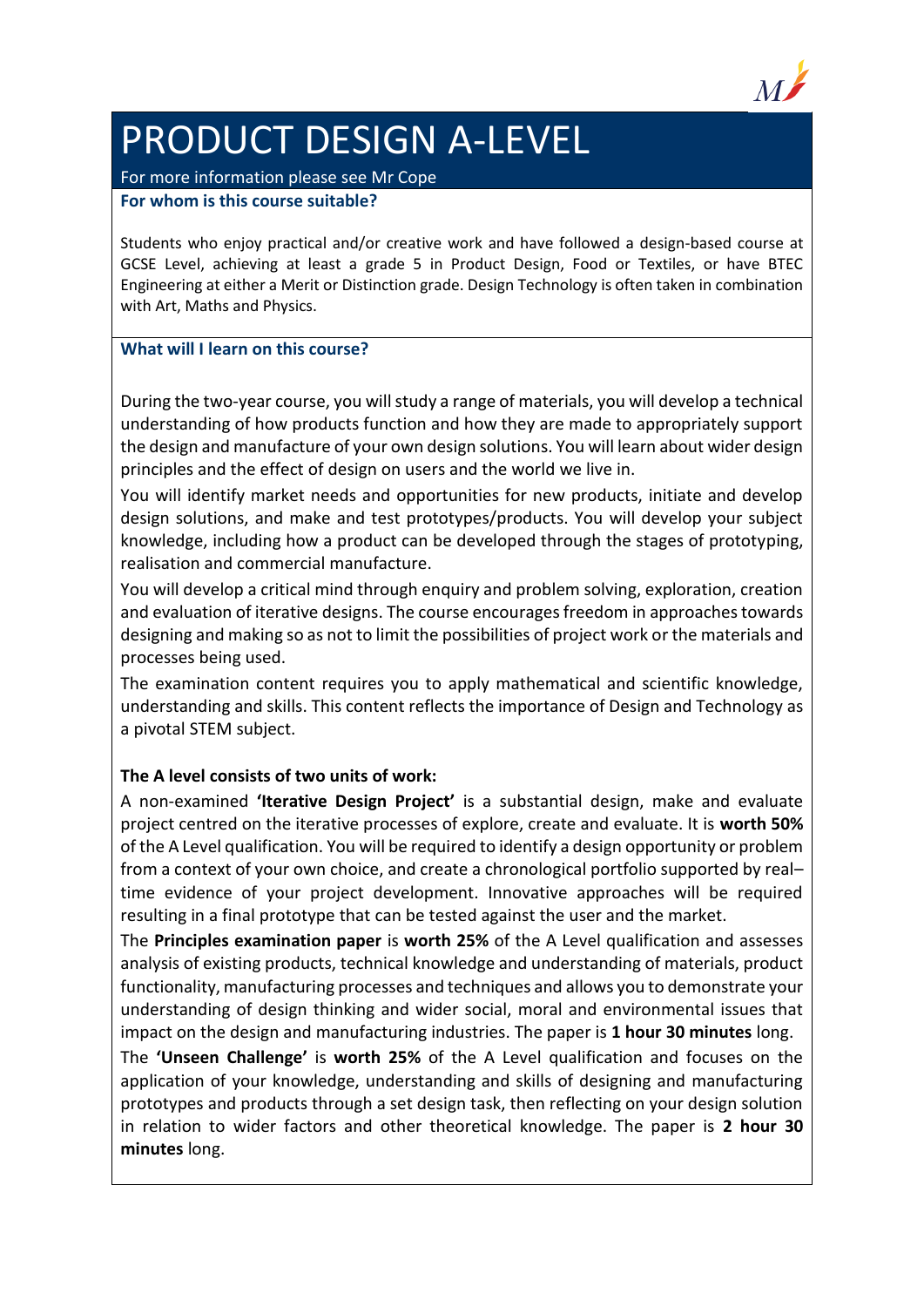

# PRODUCT DESIGN A-LEVEL

### For more information please see Mr Cope

### **For whom is this course suitable?**

Students who enjoy practical and/or creative work and have followed a design-based course at GCSE Level, achieving at least a grade 5 in Product Design, Food or Textiles, or have BTEC Engineering at either a Merit or Distinction grade. Design Technology is often taken in combination with Art, Maths and Physics.

# **What will I learn on this course?**

During the two-year course, you will study a range of materials, you will develop a technical understanding of how products function and how they are made to appropriately support the design and manufacture of your own design solutions. You will learn about wider design principles and the effect of design on users and the world we live in.

You will identify market needs and opportunities for new products, initiate and develop design solutions, and make and test prototypes/products. You will develop your subject knowledge, including how a product can be developed through the stages of prototyping, realisation and commercial manufacture.

You will develop a critical mind through enquiry and problem solving, exploration, creation and evaluation of iterative designs. The course encourages freedom in approaches towards designing and making so as not to limit the possibilities of project work or the materials and processes being used.

The examination content requires you to apply mathematical and scientific knowledge, understanding and skills. This content reflects the importance of Design and Technology as a pivotal STEM subject.

# **The A level consists of two units of work:**

A non-examined **'Iterative Design Project'** is a substantial design, make and evaluate project centred on the iterative processes of explore, create and evaluate. It is **worth 50%** of the A Level qualification. You will be required to identify a design opportunity or problem from a context of your own choice, and create a chronological portfolio supported by real– time evidence of your project development. Innovative approaches will be required resulting in a final prototype that can be tested against the user and the market.

The **Principles examination paper** is **worth 25%** of the A Level qualification and assesses analysis of existing products, technical knowledge and understanding of materials, product functionality, manufacturing processes and techniques and allows you to demonstrate your understanding of design thinking and wider social, moral and environmental issues that impact on the design and manufacturing industries. The paper is **1 hour 30 minutes** long.

The **'Unseen Challenge'** is **worth 25%** of the A Level qualification and focuses on the application of your knowledge, understanding and skills of designing and manufacturing prototypes and products through a set design task, then reflecting on your design solution in relation to wider factors and other theoretical knowledge. The paper is **2 hour 30 minutes** long.